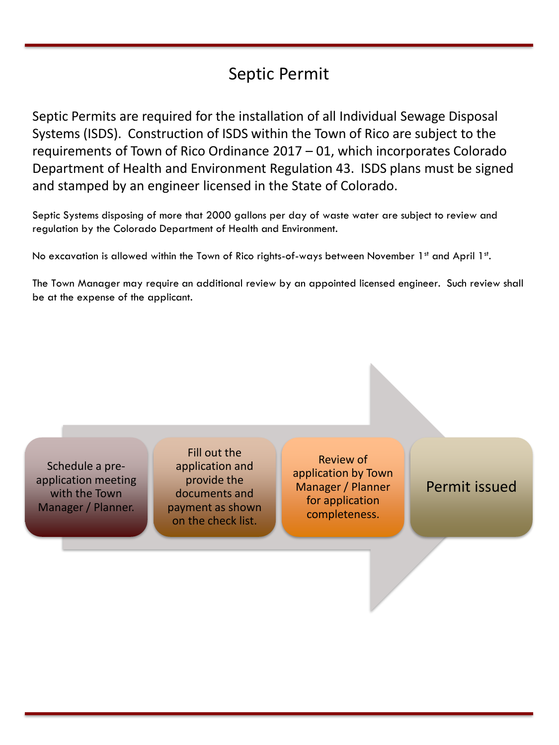## Septic Permit

Septic Permits are required for the installation of all Individual Sewage Disposal Systems (ISDS). Construction of ISDS within the Town of Rico are subject to the requirements of Town of Rico Ordinance 2017 – 01, which incorporates Colorado Department of Health and Environment Regulation 43. ISDS plans must be signed and stamped by an engineer licensed in the State of Colorado.

Septic Systems disposing of more that 2000 gallons per day of waste water are subject to review and regulation by the Colorado Department of Health and Environment.

No excavation is allowed within the Town of Rico rights-of-ways between November 1st and April 1st.

The Town Manager may require an additional review by an appointed licensed engineer. Such review shall be at the expense of the applicant.

Schedule a preapplication meeting with the Town Manager / Planner.

Fill out the application and provide the documents and payment as shown on the check list.

Review of application by Town Manager / Planner for application completeness.

Permit issued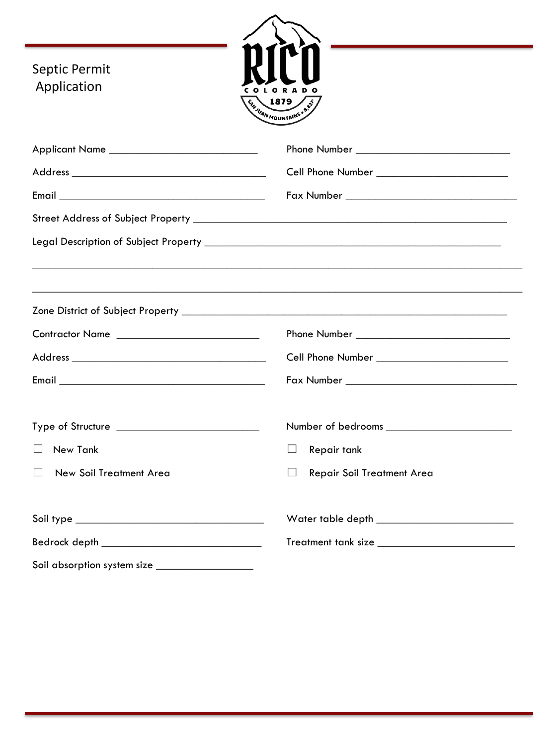| Septic Permit<br>Application                     | 1879<br><b>SAVIDAN MOUNTAINS . 8.87</b>           |
|--------------------------------------------------|---------------------------------------------------|
| Applicant Name ________________________________  |                                                   |
|                                                  |                                                   |
|                                                  |                                                   |
|                                                  |                                                   |
|                                                  |                                                   |
|                                                  |                                                   |
|                                                  |                                                   |
| Contractor Name ________________________________ |                                                   |
|                                                  |                                                   |
|                                                  |                                                   |
|                                                  |                                                   |
| $\Box$ New Tank                                  | Repair tank<br>ப                                  |
| $\Box$ New Soil Treatment Area                   | $\Box$ Repair Soil Treatment Area                 |
|                                                  |                                                   |
|                                                  | Treatment tank size _____________________________ |
| Soil absorption system size ___________________  |                                                   |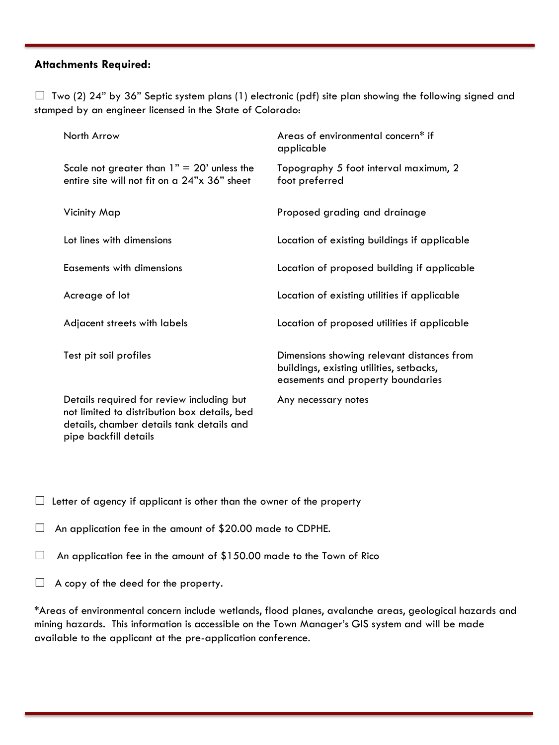## **Attachments Required:**

 $\Box$  Two (2) 24" by 36" Septic system plans (1) electronic (pdf) site plan showing the following signed and stamped by an engineer licensed in the State of Colorado:

| North Arrow                                                                                                                                                     | Areas of environmental concern* if<br>applicable                                                                            |
|-----------------------------------------------------------------------------------------------------------------------------------------------------------------|-----------------------------------------------------------------------------------------------------------------------------|
| Scale not greater than $1" = 20"$ unless the<br>entire site will not fit on a 24"x 36" sheet                                                                    | Topography 5 foot interval maximum, 2<br>foot preferred                                                                     |
| Vicinity Map                                                                                                                                                    | Proposed grading and drainage                                                                                               |
| Lot lines with dimensions                                                                                                                                       | Location of existing buildings if applicable                                                                                |
| Easements with dimensions                                                                                                                                       | Location of proposed building if applicable                                                                                 |
| Acreage of lot                                                                                                                                                  | Location of existing utilities if applicable                                                                                |
| Adjacent streets with labels                                                                                                                                    | Location of proposed utilities if applicable                                                                                |
| Test pit soil profiles                                                                                                                                          | Dimensions showing relevant distances from<br>buildings, existing utilities, setbacks,<br>easements and property boundaries |
| Details required for review including but<br>not limited to distribution box details, bed<br>details, chamber details tank details and<br>pipe backfill details | Any necessary notes                                                                                                         |

 $\Box$  Letter of agency if applicant is other than the owner of the property

 $\Box$  An application fee in the amount of \$20.00 made to CDPHE.

- $\Box$  An application fee in the amount of \$150.00 made to the Town of Rico
- $\Box$  A copy of the deed for the property.

\*Areas of environmental concern include wetlands, flood planes, avalanche areas, geological hazards and mining hazards. This information is accessible on the Town Manager's GIS system and will be made available to the applicant at the pre-application conference.